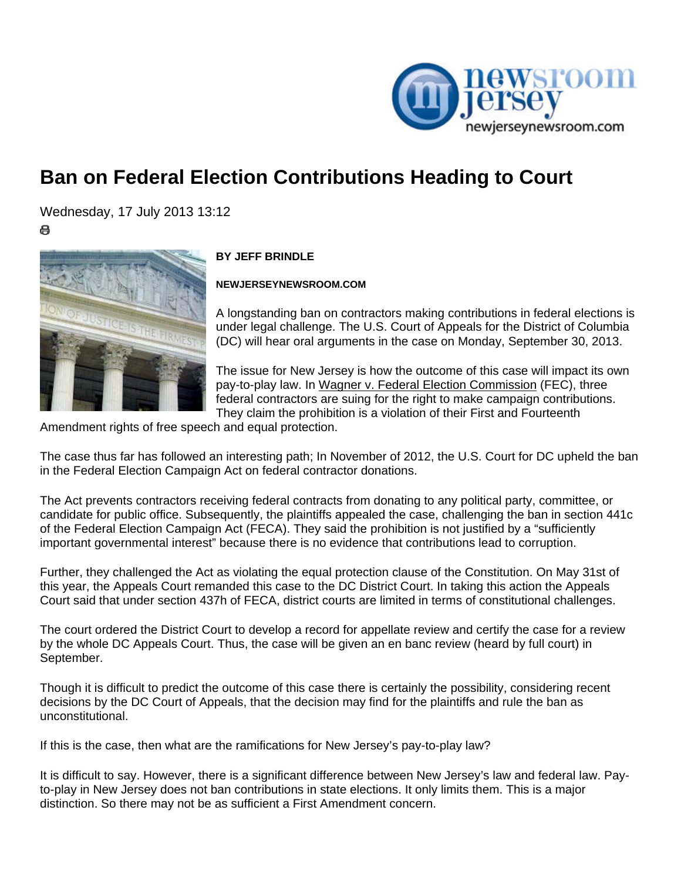

## **Ban on Federal Election Contributions Heading to Court**

Wednesday, 17 July 2013 13:12

e



## **BY JEFF BRINDLE**

**NEWJERSEYNEWSROOM.COM** 

A longstanding ban on contractors making contributions in federal elections is under legal challenge. The U.S. Court of Appeals for the District of Columbia (DC) will hear oral arguments in the case on Monday, September 30, 2013.

The issue for New Jersey is how the outcome of this case will impact its own pay-to-play law. In Wagner v. Federal Election Commission (FEC), three federal contractors are suing for the right to make campaign contributions. They claim the prohibition is a violation of their First and Fourteenth

Amendment rights of free speech and equal protection.

The case thus far has followed an interesting path; In November of 2012, the U.S. Court for DC upheld the ban in the Federal Election Campaign Act on federal contractor donations.

The Act prevents contractors receiving federal contracts from donating to any political party, committee, or candidate for public office. Subsequently, the plaintiffs appealed the case, challenging the ban in section 441c of the Federal Election Campaign Act (FECA). They said the prohibition is not justified by a "sufficiently important governmental interest" because there is no evidence that contributions lead to corruption.

Further, they challenged the Act as violating the equal protection clause of the Constitution. On May 31st of this year, the Appeals Court remanded this case to the DC District Court. In taking this action the Appeals Court said that under section 437h of FECA, district courts are limited in terms of constitutional challenges.

The court ordered the District Court to develop a record for appellate review and certify the case for a review by the whole DC Appeals Court. Thus, the case will be given an en banc review (heard by full court) in September.

Though it is difficult to predict the outcome of this case there is certainly the possibility, considering recent decisions by the DC Court of Appeals, that the decision may find for the plaintiffs and rule the ban as unconstitutional.

If this is the case, then what are the ramifications for New Jersey's pay-to-play law?

It is difficult to say. However, there is a significant difference between New Jersey's law and federal law. Payto-play in New Jersey does not ban contributions in state elections. It only limits them. This is a major distinction. So there may not be as sufficient a First Amendment concern.